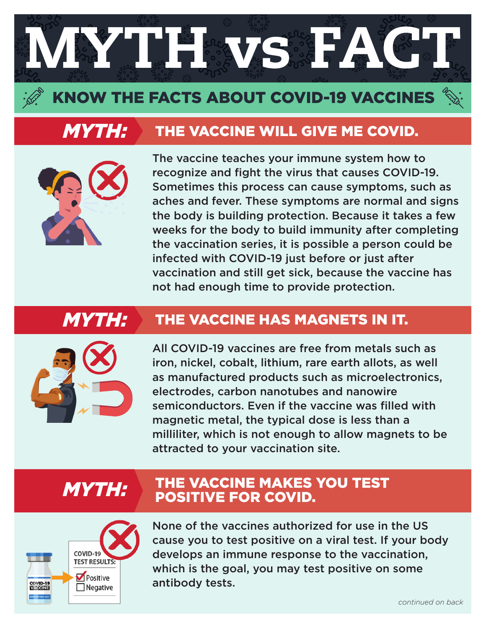

# KNOW THE FACTS ABOUT COVID-19 VACCINES

#### *MYTH:* THE VACCINE WILL GIVE ME COVID.



The vaccine teaches your immune system how to recognize and fight the virus that causes COVID-19. Sometimes this process can cause symptoms, such as aches and fever. These symptoms are normal and signs the body is building protection. Because it takes a few weeks for the body to build immunity after completing the vaccination series, it is possible a person could be infected with COVID-19 just before or just after vaccination and still get sick, because the vaccine has not had enough time to provide protection.

## *MYTH:*

### THE VACCINE HAS MAGNETS IN IT.



All COVID-19 vaccines are free from metals such as iron, nickel, cobalt, lithium, rare earth allots, as well as manufactured products such as microelectronics, electrodes, carbon nanotubes and nanowire semiconductors. Even if the vaccine was filled with magnetic metal, the typical dose is less than a milliliter, which is not enough to allow magnets to be attracted to your vaccination site.

# *MYTH:*

#### THE VACCINE MAKES YOU TEST POSITIVE FOR COVID.



None of the vaccines authorized for use in the US cause you to test positive on a viral test. If your body develops an immune response to the vaccination, which is the goal, you may test positive on some antibody tests.